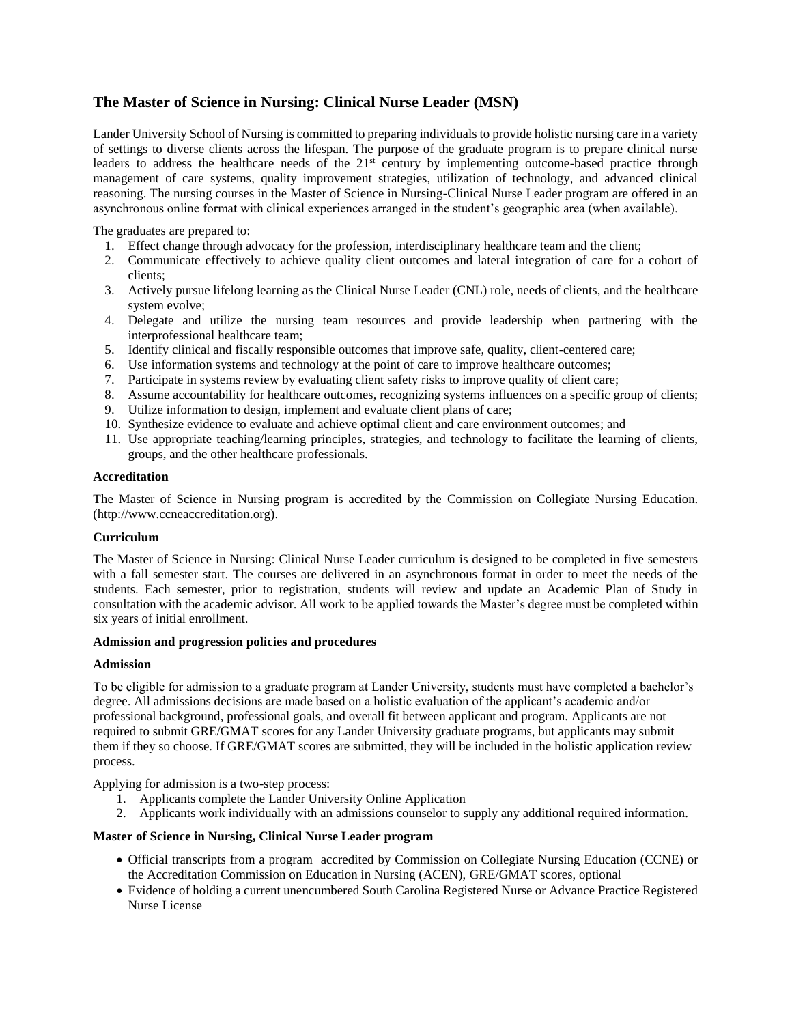## **The Master of Science in Nursing: Clinical Nurse Leader (MSN)**

Lander University School of Nursing is committed to preparing individuals to provide holistic nursing care in a variety of settings to diverse clients across the lifespan. The purpose of the graduate program is to prepare clinical nurse leaders to address the healthcare needs of the 21<sup>st</sup> century by implementing outcome-based practice through management of care systems, quality improvement strategies, utilization of technology, and advanced clinical reasoning. The nursing courses in the Master of Science in Nursing-Clinical Nurse Leader program are offered in an asynchronous online format with clinical experiences arranged in the student's geographic area (when available).

The graduates are prepared to:

- 1. Effect change through advocacy for the profession, interdisciplinary healthcare team and the client;
- 2. Communicate effectively to achieve quality client outcomes and lateral integration of care for a cohort of clients;
- 3. Actively pursue lifelong learning as the Clinical Nurse Leader (CNL) role, needs of clients, and the healthcare system evolve;
- 4. Delegate and utilize the nursing team resources and provide leadership when partnering with the interprofessional healthcare team;
- 5. Identify clinical and fiscally responsible outcomes that improve safe, quality, client-centered care;
- 6. Use information systems and technology at the point of care to improve healthcare outcomes;
- 7. Participate in systems review by evaluating client safety risks to improve quality of client care;
- 8. Assume accountability for healthcare outcomes, recognizing systems influences on a specific group of clients;
- 9. Utilize information to design, implement and evaluate client plans of care;
- 10. Synthesize evidence to evaluate and achieve optimal client and care environment outcomes; and
- 11. Use appropriate teaching/learning principles, strategies, and technology to facilitate the learning of clients, groups, and the other healthcare professionals.

## **Accreditation**

The Master of Science in Nursing program is accredited by the Commission on Collegiate Nursing Education. [\(http://www.ccneaccreditation.org\)](http://www.ccneaccreditation.org/).

#### **Curriculum**

The Master of Science in Nursing: Clinical Nurse Leader curriculum is designed to be completed in five semesters with a fall semester start. The courses are delivered in an asynchronous format in order to meet the needs of the students. Each semester, prior to registration, students will review and update an Academic Plan of Study in consultation with the academic advisor. All work to be applied towards the Master's degree must be completed within six years of initial enrollment.

#### **Admission and progression policies and procedures**

#### **Admission**

To be eligible for admission to a graduate program at Lander University, students must have completed a bachelor's degree. All admissions decisions are made based on a holistic evaluation of the applicant's academic and/or professional background, professional goals, and overall fit between applicant and program. Applicants are not required to submit GRE/GMAT scores for any Lander University graduate programs, but applicants may submit them if they so choose. If GRE/GMAT scores are submitted, they will be included in the holistic application review process.

Applying for admission is a two-step process:

- 1. Applicants complete the Lander University Online Application
- 2. Applicants work individually with an admissions counselor to supply any additional required information.

## **Master of Science in Nursing, Clinical Nurse Leader program**

- Official transcripts from a program accredited by Commission on Collegiate Nursing Education (CCNE) or the Accreditation Commission on Education in Nursing (ACEN), GRE/GMAT scores, optional
- Evidence of holding a current unencumbered South Carolina Registered Nurse or Advance Practice Registered Nurse License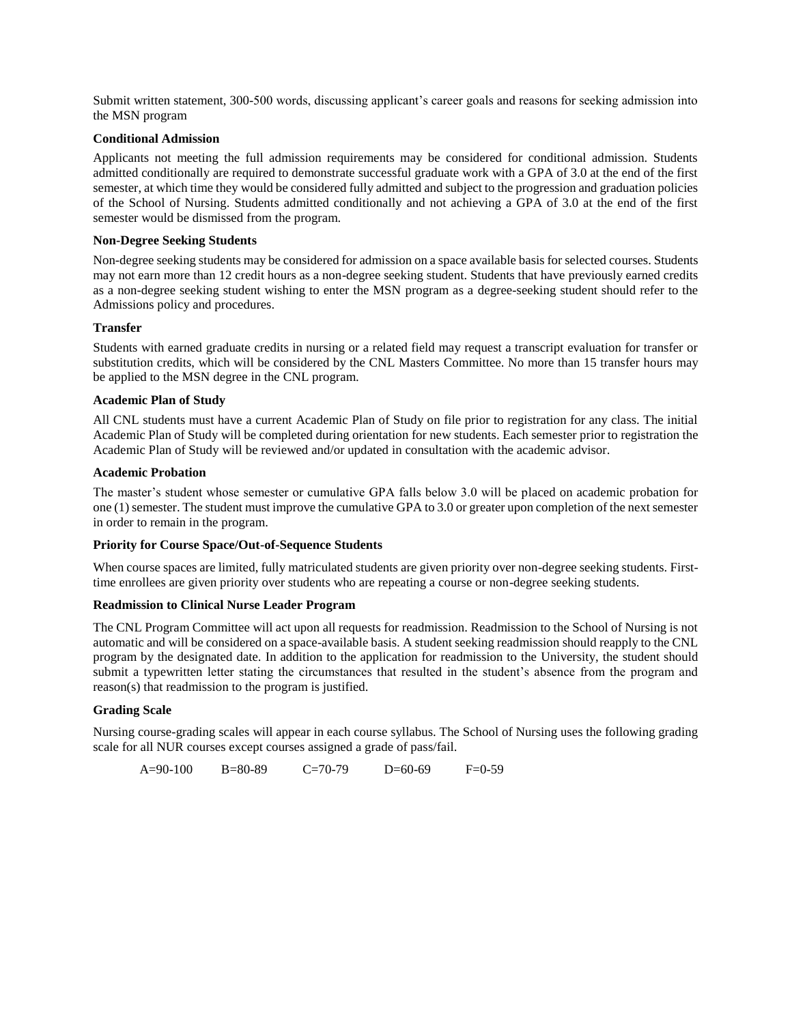Submit written statement, 300-500 words, discussing applicant's career goals and reasons for seeking admission into the MSN program

#### **Conditional Admission**

Applicants not meeting the full admission requirements may be considered for conditional admission. Students admitted conditionally are required to demonstrate successful graduate work with a GPA of 3.0 at the end of the first semester, at which time they would be considered fully admitted and subject to the progression and graduation policies of the School of Nursing. Students admitted conditionally and not achieving a GPA of 3.0 at the end of the first semester would be dismissed from the program.

## **Non-Degree Seeking Students**

Non-degree seeking students may be considered for admission on a space available basis for selected courses. Students may not earn more than 12 credit hours as a non-degree seeking student. Students that have previously earned credits as a non-degree seeking student wishing to enter the MSN program as a degree-seeking student should refer to the Admissions policy and procedures.

## **Transfer**

Students with earned graduate credits in nursing or a related field may request a transcript evaluation for transfer or substitution credits, which will be considered by the CNL Masters Committee. No more than 15 transfer hours may be applied to the MSN degree in the CNL program.

## **Academic Plan of Study**

All CNL students must have a current Academic Plan of Study on file prior to registration for any class. The initial Academic Plan of Study will be completed during orientation for new students. Each semester prior to registration the Academic Plan of Study will be reviewed and/or updated in consultation with the academic advisor.

## **Academic Probation**

The master's student whose semester or cumulative GPA falls below 3.0 will be placed on academic probation for one (1) semester. The student must improve the cumulative GPA to 3.0 or greater upon completion of the next semester in order to remain in the program.

## **Priority for Course Space/Out-of-Sequence Students**

When course spaces are limited, fully matriculated students are given priority over non-degree seeking students. Firsttime enrollees are given priority over students who are repeating a course or non-degree seeking students.

#### **Readmission to Clinical Nurse Leader Program**

The CNL Program Committee will act upon all requests for readmission. Readmission to the School of Nursing is not automatic and will be considered on a space-available basis. A student seeking readmission should reapply to the CNL program by the designated date. In addition to the application for readmission to the University, the student should submit a typewritten letter stating the circumstances that resulted in the student's absence from the program and reason(s) that readmission to the program is justified.

## **Grading Scale**

Nursing course-grading scales will appear in each course syllabus. The School of Nursing uses the following grading scale for all NUR courses except courses assigned a grade of pass/fail.

A=90-100 B=80-89 C=70-79 D=60-69 F=0-59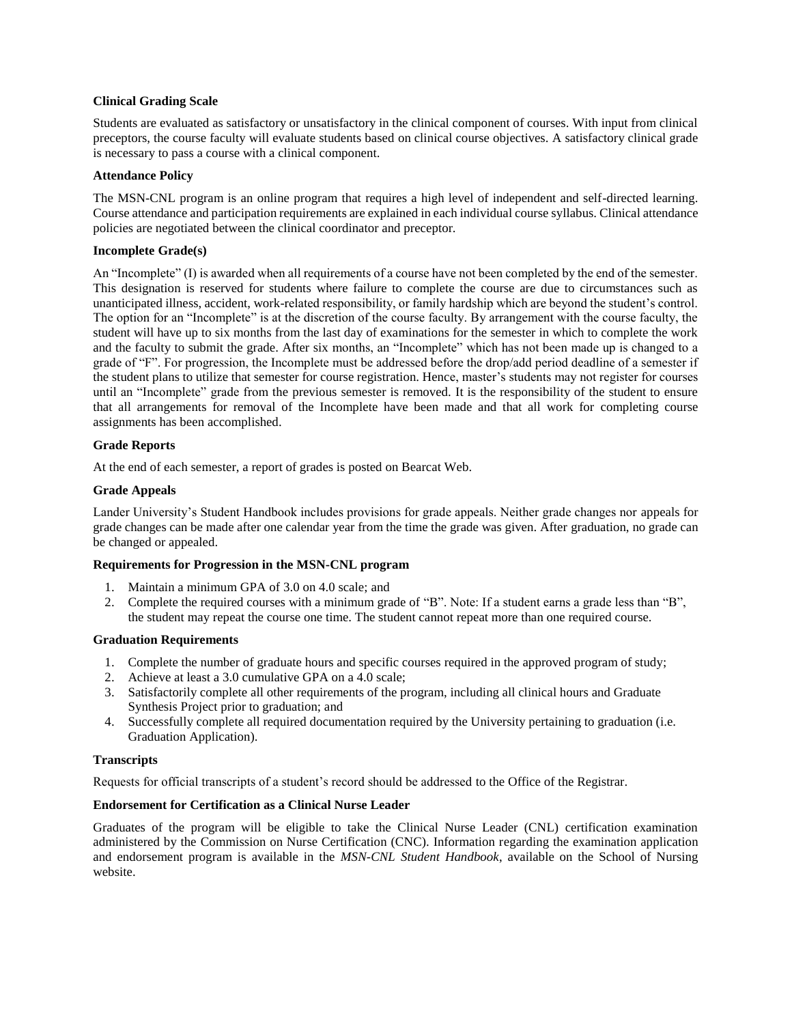## **Clinical Grading Scale**

Students are evaluated as satisfactory or unsatisfactory in the clinical component of courses. With input from clinical preceptors, the course faculty will evaluate students based on clinical course objectives. A satisfactory clinical grade is necessary to pass a course with a clinical component.

#### **Attendance Policy**

The MSN-CNL program is an online program that requires a high level of independent and self-directed learning. Course attendance and participation requirements are explained in each individual course syllabus. Clinical attendance policies are negotiated between the clinical coordinator and preceptor.

## **Incomplete Grade(s)**

An "Incomplete" (I) is awarded when all requirements of a course have not been completed by the end of the semester. This designation is reserved for students where failure to complete the course are due to circumstances such as unanticipated illness, accident, work-related responsibility, or family hardship which are beyond the student's control. The option for an "Incomplete" is at the discretion of the course faculty. By arrangement with the course faculty, the student will have up to six months from the last day of examinations for the semester in which to complete the work and the faculty to submit the grade. After six months, an "Incomplete" which has not been made up is changed to a grade of "F". For progression, the Incomplete must be addressed before the drop/add period deadline of a semester if the student plans to utilize that semester for course registration. Hence, master's students may not register for courses until an "Incomplete" grade from the previous semester is removed. It is the responsibility of the student to ensure that all arrangements for removal of the Incomplete have been made and that all work for completing course assignments has been accomplished.

## **Grade Reports**

At the end of each semester, a report of grades is posted on Bearcat Web.

#### **Grade Appeals**

Lander University's Student Handbook includes provisions for grade appeals. Neither grade changes nor appeals for grade changes can be made after one calendar year from the time the grade was given. After graduation, no grade can be changed or appealed.

## **Requirements for Progression in the MSN-CNL program**

- 1. Maintain a minimum GPA of 3.0 on 4.0 scale; and
- 2. Complete the required courses with a minimum grade of "B". Note: If a student earns a grade less than "B", the student may repeat the course one time. The student cannot repeat more than one required course.

#### **Graduation Requirements**

- 1. Complete the number of graduate hours and specific courses required in the approved program of study;
- 2. Achieve at least a 3.0 cumulative GPA on a 4.0 scale;
- 3. Satisfactorily complete all other requirements of the program, including all clinical hours and Graduate Synthesis Project prior to graduation; and
- 4. Successfully complete all required documentation required by the University pertaining to graduation (i.e. Graduation Application).

#### **Transcripts**

Requests for official transcripts of a student's record should be addressed to the Office of the Registrar.

## **Endorsement for Certification as a Clinical Nurse Leader**

Graduates of the program will be eligible to take the Clinical Nurse Leader (CNL) certification examination administered by the Commission on Nurse Certification (CNC). Information regarding the examination application and endorsement program is available in the *MSN-CNL Student Handbook*, available on the School of Nursing website.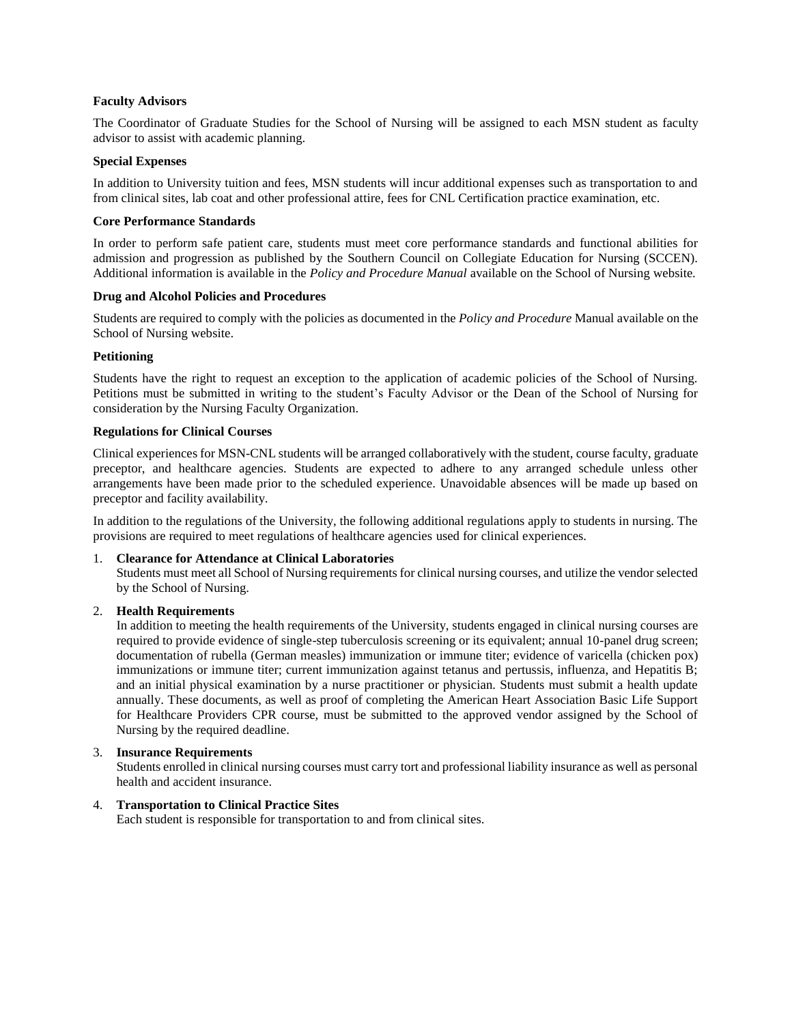#### **Faculty Advisors**

The Coordinator of Graduate Studies for the School of Nursing will be assigned to each MSN student as faculty advisor to assist with academic planning.

#### **Special Expenses**

In addition to University tuition and fees, MSN students will incur additional expenses such as transportation to and from clinical sites, lab coat and other professional attire, fees for CNL Certification practice examination, etc.

#### **Core Performance Standards**

In order to perform safe patient care, students must meet core performance standards and functional abilities for admission and progression as published by the Southern Council on Collegiate Education for Nursing (SCCEN). Additional information is available in the *Policy and Procedure Manual* available on the School of Nursing website*.*

#### **Drug and Alcohol Policies and Procedures**

Students are required to comply with the policies as documented in the *Policy and Procedure* Manual available on the School of Nursing website.

## **Petitioning**

Students have the right to request an exception to the application of academic policies of the School of Nursing. Petitions must be submitted in writing to the student's Faculty Advisor or the Dean of the School of Nursing for consideration by the Nursing Faculty Organization.

#### **Regulations for Clinical Courses**

Clinical experiences for MSN-CNL students will be arranged collaboratively with the student, course faculty, graduate preceptor, and healthcare agencies. Students are expected to adhere to any arranged schedule unless other arrangements have been made prior to the scheduled experience. Unavoidable absences will be made up based on preceptor and facility availability.

In addition to the regulations of the University, the following additional regulations apply to students in nursing. The provisions are required to meet regulations of healthcare agencies used for clinical experiences.

#### 1. **Clearance for Attendance at Clinical Laboratories**

Students must meet all School of Nursing requirements for clinical nursing courses, and utilize the vendor selected by the School of Nursing.

#### 2. **Health Requirements**

In addition to meeting the health requirements of the University, students engaged in clinical nursing courses are required to provide evidence of single-step tuberculosis screening or its equivalent; annual 10-panel drug screen; documentation of rubella (German measles) immunization or immune titer; evidence of varicella (chicken pox) immunizations or immune titer; current immunization against tetanus and pertussis, influenza, and Hepatitis B; and an initial physical examination by a nurse practitioner or physician. Students must submit a health update annually. These documents, as well as proof of completing the American Heart Association Basic Life Support for Healthcare Providers CPR course, must be submitted to the approved vendor assigned by the School of Nursing by the required deadline.

## 3. **Insurance Requirements**

Students enrolled in clinical nursing courses must carry tort and professional liability insurance as well as personal health and accident insurance.

#### 4. **Transportation to Clinical Practice Sites**

Each student is responsible for transportation to and from clinical sites.